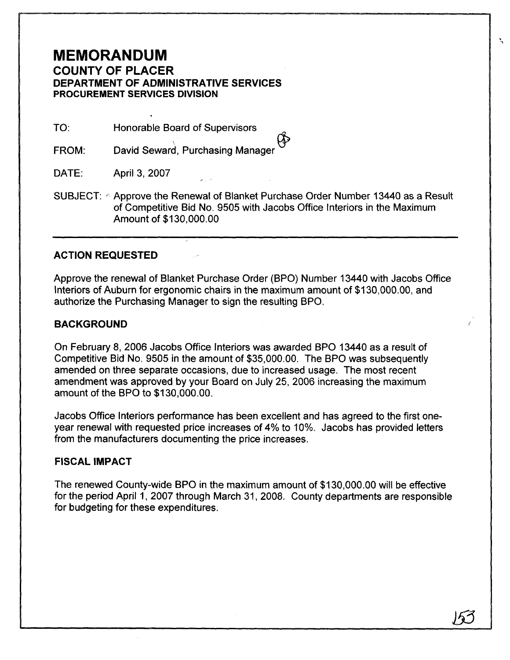# **MEMORANDUM**

## **COUNTY OF PLACER DEPARTMENT OF ADMINISTRATIVE SERVICES PROCUREMENT SERVICES DIVISION**

TO: Honorable Board of Supervisors

David Seward, Purchasing Manager FROM:

DATE: April 3, 2007

SUBJECT:  $\textdegree$  Approve the Renewal of Blanket Purchase Order Number 13440 as a Result of Competitive Bid No. 9505 with Jacobs Office lnteriors in the Maximum Amount of \$130,000.00

### **ACTION REQUESTED**

Approve the renewal of Blanket Purchase Order (BPO) Number I3440 with Jacobs Office lnteriors of Auburn for ergonomic chairs in the maximum amount of \$130,000.00, and authorize the Purchasing Manager to sign the resulting BPO.

### **BACKGROUND**

On February 8, 2006 Jacobs Office lnteriors was awarded BPO 13440 as a result of Competitive Bid No. 9505 in the amount of \$35,000.00. The BPO was subsequently amended on three separate occasions, due to increased usage. The most recent amendment was approved by your Board on July 25,2006 increasing the maximum amount of the BPO to \$130,000.00.

Jacobs Office lnteriors performance has been excellent and has agreed to the first oneyear renewal with requested price increases of 4% to 10%. Jacobs has provided letters from the manufacturers documenting the price increases.

#### **FISCAL IMPACT**

The renewed County-wide BPO in the maximum amount of \$130,000.00 will be effective for the period April 1, 2007 through March 31, 2008. County departments are responsible for budgeting for these expenditures.

N